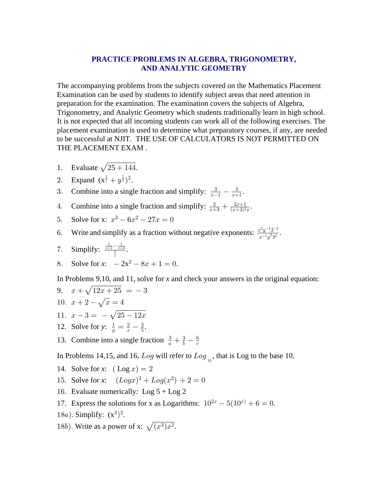## PRACTICE PROBLEMS IN ALGEBRA, TRIGONOMETRY, **AND ANALYTIC GEOMETRY**

The accompanying problems from the subjects covered on the Mathematics Placement Examination can be used by students to identify subject areas that need attention in preparation for the examination. The examination covers the subjects of Algebra, Trigonometry, and Analytic Geometry which students traditionally learn in high school. It is not expected that all incoming students can work all of the following exercises. The placement examination is used to determine what preparatory courses, if any, are needed to be successful at NJIT. THE USE OF CALCULATORS IS NOT PERMITTED ON THE PLACEMENT EXAM.

- Evaluate  $\sqrt{25+144}$ .  $1<sup>1</sup>$
- 2. Expand  $(x^{\frac{1}{2}} + y^{\frac{1}{2}})^2$ .
- Combine into a single fraction and simplify:  $\frac{3}{x-1} \frac{3}{x+1}$ . 3.
- Combine into a single fraction and simplify:  $\frac{2}{x+3} + \frac{2x+1}{(x+3)^2x}$ . 4.
- Solve for x:  $x^3 6x^2 27x = 0$  $5.$
- Write and simplify as a fraction without negative exponents:  $\frac{x^2y^{-1}3^{-2}}{x^{-1}y^23^2}$ . 6.
- 7. Simplify:  $\frac{\frac{2}{x+2} \frac{1}{x+2}}{\frac{3}{2}}$ .
- Solve for x:  $-2x^2 8x + 1 = 0$ . 8.

In Problems 9,10, and 11, solve for  $x$  and check your answers in the original equation:

9. 
$$
x + \sqrt{12x + 25} = -3
$$
  
\n10.  $x + 2 - \sqrt{x} = 4$   
\n11.  $x - 3 = -\sqrt{25 - 12x}$   
\n12. Solve for y:  $\frac{1}{y} = \frac{2}{x} - \frac{3}{5}$ .  
\n13. Combine into a single fraction  $\frac{3}{a} + \frac{3}{b} - \frac{6}{c}$ 

In Problems 14,15, and 16, Log will refer to Log<sub>10</sub>, that is Log to the base 10.

- 14. Solve for x:  $(\text{Log } x) = 2$
- 15. Solve for x:  $(Logx)^2 + Log(x^3) + 2 = 0$
- 16. Evaluate numerically: Log  $5 +$ Log 2
- 17. Express the solutions for x as Logarithms:  $10^{2x} 5(10^{x}) + 6 = 0$ .
- 18*a*). Simplify:  $(x^3)^2$ .
- 18b). Write as a power of x:  $\sqrt{(x^3)x^2}$ .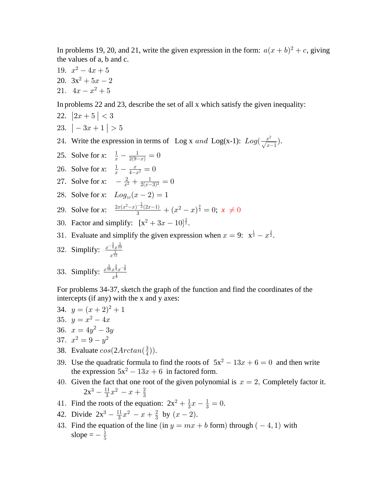In problems 19, 20, and 21, write the given expression in the form:  $a(x + b)^2 + c$ , giving the values of a, b and c.

19.  $x^2-4x+5$ 20.  $3x^2 + 5x - 2$ 21.  $4x - x^2 + 5$ 

In problems 22 and 23, describe the set of all x which satisfy the given inequality:

- 22.  $|2x+5| < 3$
- 23.  $|-3x+1| > 5$
- 24. Write the expression in terms of Log x and Log(x-1):  $Log(\frac{x^2}{\sqrt{x-1}})$ .
- 25. Solve for x:  $\frac{1}{x} \frac{1}{2(9-x)} = 0$
- 26. Solve for x:  $\frac{1}{x} \frac{x}{4-x^2} = 0$
- 27. Solve for x:  $-\frac{2}{x^2} + \frac{1}{2(x-3)^2} = 0$
- 28. Solve for x:  $Log_{10}(x-2) = 1$
- 29. Solve for x:  $\frac{2x(x^2-x)^{-\frac{1}{3}}(2x-1)}{2} + (x^2-x)^{\frac{2}{3}} = 0; x \neq 0$
- 30. Factor and simplify:  $[x^2 + 3x 10]^{\frac{3}{2}}$ .
- 31. Evaluate and simplify the given expression when  $x = 9$ :  $x^{\frac{1}{2}} x^{\frac{3}{2}}$ .
- 32. Simplify:  $\frac{x^{-\frac{3}{4}}x^{\frac{3}{10}}}{x^{\frac{1}{12}}}$

33. Simplify:  $\frac{x^{\frac{3}{16}}x^{\frac{3}{4}}x^{-\frac{1}{6}}}{1}$ 

For problems 34-37, sketch the graph of the function and find the coordinates of the intercepts (if any) with the x and y axes:

- 34.  $y = (x+2)^2 + 1$ 35.  $y = x^2 - 4x$ 36.  $x = 4y^2 - 3y$ 37.  $x^2 = 9 - y^2$
- 38. Evaluate  $cos(2Arctan(\frac{3}{4}))$ .
- 39. Use the quadratic formula to find the roots of  $5x^2 13x + 6 = 0$  and then write the expression  $5x^2 - 13x + 6$  in factored form.
- 40. Given the fact that one root of the given polynomial is  $x = 2$ , Completely factor it.  $2x^3 - \frac{11}{3}x^2 - x + \frac{2}{3}$
- 41. Find the roots of the equation:  $2x^2 + \frac{1}{3}x \frac{1}{3} = 0$ .
- 42. Divide  $2x^3 \frac{11}{3}x^2 x + \frac{2}{3}$  by  $(x 2)$ .
- 43. Find the equation of the line (in  $y = mx + b$  form) through (-4, 1) with slope  $=-\frac{1}{5}$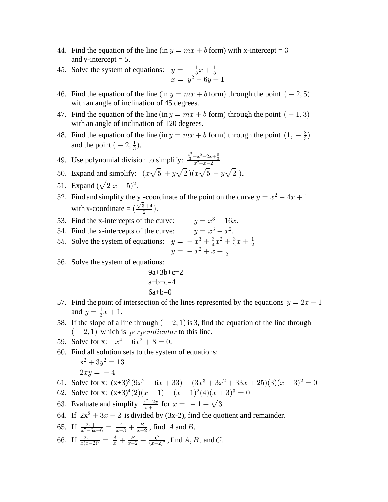- 44. Find the equation of the line (in  $y = mx + b$  form) with x-intercept = 3 and y-intercept  $= 5$ .
- 45. Solve the system of equations:  $y = -\frac{1}{5}x + \frac{1}{5}$ <br> $x = y^2 6y + 1$
- 46. Find the equation of the line (in  $y = mx + b$  form) through the point ( 2, 5) with an angle of inclination of 45 degrees.
- 47. Find the equation of the line (in  $y = mx + b$  form) through the point  $(-1,3)$ with an angle of inclination of 120 degrees.
- 48. Find the equation of the line (in  $y = mx + b$  form) through the point  $(1, -\frac{8}{3})$ and the point  $(-2, \frac{1}{3})$ .
- 49. Use polynomial division to simplify:  $\frac{x^3}{3} x^2 2x + \frac{8}{3}$
- 50. Expand and simplify:  $(x\sqrt{5} + y\sqrt{2})(x\sqrt{5} y\sqrt{2})$ .
- 51. Expand  $(\sqrt{2} x 5)^2$ .
- 52. Find and simplify the y-coordinate of the point on the curve  $y = x^2 4x + 1$ with x-coordinate =  $(\frac{\sqrt{3}+4}{2})$ .
- 53. Find the x-intercepts of the curve:  $y = x^3 16x$ .
- 54. Find the x-intercepts of the curve:  $y = x^3 x^2$ .
- 55. Solve the system of equations:  $y = -x^3 + \frac{3}{4}x^2 + \frac{3}{2}x + \frac{1}{2}$ <br> $y = -x^2 + x + \frac{1}{2}$
- 56. Solve the system of equations:

$$
9a+3b+c=2
$$
  

$$
a+b+c=4
$$
  

$$
6a+b=0
$$

- 57. Find the point of intersection of the lines represented by the equations  $y = 2x 1$ and  $y = \frac{1}{3}x + 1$ .
- 58. If the slope of a line through  $(-2, 1)$  is 3, find the equation of the line through  $(-2, 1)$  which is *perpendicular* to this line.
- 59. Solve for x:  $x^4 6x^2 + 8 = 0$ .
- 60. Find all solution sets to the system of equations:

$$
x^2 + 3y^2 = 13
$$
  

$$
2xy = -4
$$

- 61. Solve for x:  $(x+3)^3(9x^2+6x+33) (3x^3+3x^2+33x+25)(3)(x+3)^2 = 0$
- 62. Solve for x:  $(x+3)^4(2)(x-1) (x-1)^2(4)(x+3)^3 = 0$
- 63. Evaluate and simplify  $\frac{x^2-2x}{x+1}$  for  $x = -1 + \sqrt{3}$
- 64. If  $2x^2 + 3x 2$  is divided by (3x-2), find the quotient and remainder.
- 65. If  $\frac{2x+1}{x^2-5x+6} = \frac{A}{x-3} + \frac{B}{x-2}$ , find A and B.
- 66. If  $\frac{2x-1}{x(x-2)^2} = \frac{A}{x} + \frac{B}{x-2} + \frac{C}{(x-2)^2}$ , find A, B, and C.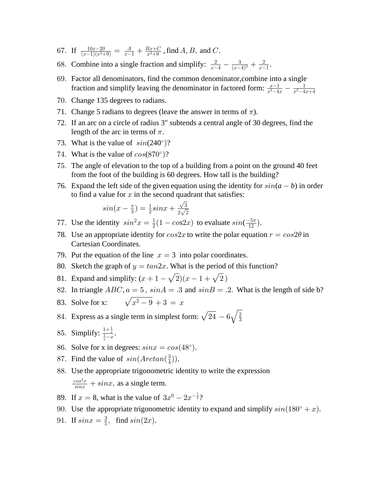- 67. If  $\frac{10x-20}{(x-1)(x^2+9)} = \frac{A}{x-1} + \frac{Bx+C}{x^2+9}$ , find A, B, and C.
- 68. Combine into a single fraction and simplify:  $\frac{2}{x-4} \frac{3}{(x-4)^2} + \frac{2}{x-1}$ .
- 69. Factor all denominators, find the common denominator, combine into a single fraction and simplify leaving the denominator in factored form:  $\frac{x-1}{x^3-4x} - \frac{1}{x^2-4x+4}$
- 70. Change 135 degrees to radians.
- 71. Change 5 radians to degrees (leave the answer in terms of  $\pi$ ).
- 72. If an arc on a circle of radius 3" subtends a central angle of 30 degrees, find the length of the arc in terms of  $\pi$ .
- 73. What is the value of  $sin(240^\circ)$ ?
- 74. What is the value of  $cos(870^\circ)$ ?
- 75. The angle of elevation to the top of a building from a point on the ground 40 feet from the foot of the building is 60 degrees. How tall is the building?
- 76. Expand the left side of the given equation using the identity for  $sin(a b)$  in order to find a value for  $x$  in the second quadrant that satisfies:

$$
\sin(x - \frac{\pi}{3}) = \frac{1}{2}\sin x + \frac{\sqrt{3}}{2\sqrt{2}}
$$

- 77. Use the identity  $sin^2 x = \frac{1}{2}(1 cos2x)$  to evaluate  $sin(\frac{-5\pi}{12})$ .
- 78. Use an appropriate identity for  $\cos 2x$  to write the polar equation  $r = \cos 2\theta$  in **Cartesian Coordinates.**
- 79. Put the equation of the line  $x = 3$  into polar coordinates.
- 80. Sketch the graph of  $y = tan2x$ . What is the period of this function?
- 81. Expand and simplify:  $(x + 1 \sqrt{2})(x 1 + \sqrt{2})$
- 82. In triangle  $ABC$ ,  $a = 5$ ,  $sinA = .3$  and  $sinB = .2$ . What is the length of side b?
- $\sqrt{x^2-9}+3=x$ 83. Solve for x:
- 84. Express as a single term in simplest form:  $\sqrt{24} 6\sqrt{\frac{2}{3}}$
- 85. Simplify:  $\frac{1+\frac{1}{x}}{1-x}$ .
- 86. Solve for x in degrees:  $sinx = cos(48^\circ)$ .
- 87. Find the value of  $sin(Arctan(\frac{3}{4}))$ .
- 88. Use the appropriate trigonometric identity to write the expression  $\frac{\cos^2 x}{\sin x} + \sin x$ , as a single term.
- 89. If  $x = 8$ , what is the value of  $3x^0 2x^{-\frac{1}{3}}$ ?
- 90. Use the appropriate trigonometric identity to expand and simplify  $sin(180^\circ + x)$ .
- 91. If  $sin x = \frac{3}{5}$ , find  $sin(2x)$ .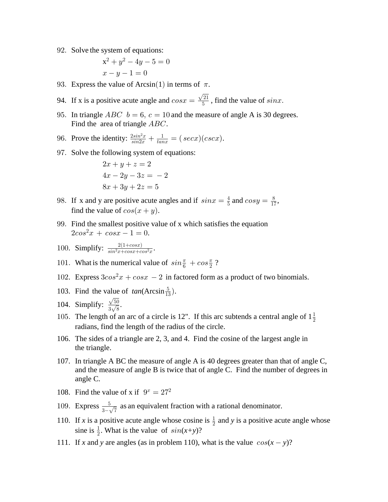92. Solve the system of equations:

$$
x^{2} + y^{2} - 4y - 5 = 0
$$
  

$$
x - y - 1 = 0
$$

93. Express the value of Arcsin(1) in terms of  $\pi$ .

94. If x is a positive acute angle and  $cos x = \frac{\sqrt{21}}{5}$ , find the value of  $sin x$ .

95. In triangle *ABC*  $b = 6$ ,  $c = 10$  and the measure of angle A is 30 degrees. Find the area of triangle  $ABC$ .

96. Prove the identity: 
$$
\frac{2\sin^2 x}{\sin 2x} + \frac{1}{\tan x} = (\sec x)(\csc x).
$$

97. Solve the following system of equations:

$$
2x + y + z = 2
$$
  

$$
4x - 2y - 3z = -2
$$
  

$$
8x + 3y + 2z = 5
$$

- 98. If x and y are positive acute angles and if  $sinx = \frac{4}{5}$  and  $cosy = \frac{8}{17}$ , find the value of  $cos(x + y)$ .
- 99. Find the smallest positive value of x which satisfies the equation  $2cos^2 x + cos x - 1 = 0.$

100. Simplify: 
$$
\frac{2(1+cosx)}{sin^2x+cosx+cos^2x}.
$$

- 101. What is the numerical value of  $sin\frac{\pi}{6} + cos\frac{\pi}{2}$ ?
- 102. Express  $3\cos^2 x + \cos x 2$  in factored form as a product of two binomials.
- 103. Find the value of  $tan(Aresin \frac{5}{13})$ .
- 104. Simplify:  $\frac{\sqrt{50}}{3\sqrt{8}}$ .
- 105. The length of an arc of a circle is 12". If this arc subtends a central angle of  $1\frac{1}{2}$ radians, find the length of the radius of the circle.
- 106. The sides of a triangle are 2, 3, and 4. Find the cosine of the largest angle in the triangle.
- 107. In triangle A BC the measure of angle A is 40 degrees greater than that of angle C, and the measure of angle B is twice that of angle C. Find the number of degrees in angle C.
- 108. Find the value of x if  $9^x = 27^2$
- 109. Express  $\frac{5}{3-\sqrt{7}}$  as an equivalent fraction with a rational denominator.
- 110. If x is a positive acute angle whose cosine is  $\frac{1}{2}$  and y is a positive acute angle whose sine is  $\frac{1}{2}$ . What is the value of  $sin(x+y)$ ?
- 111. If x and y are angles (as in problem 110), what is the value  $cos(x y)$ ?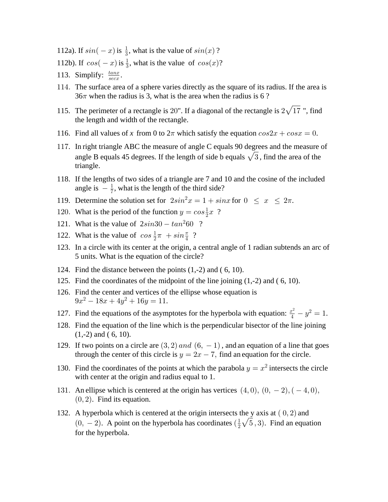112a). If  $sin(-x)$  is  $\frac{1}{3}$ , what is the value of  $sin(x)$ ?

- 112b). If  $cos(-x)$  is  $\frac{1}{3}$ , what is the value of  $cos(x)$ ?
- 113. Simplify:  $\frac{tan x}{sec x}$ .
- 114. The surface area of a sphere varies directly as the square of its radius. If the area is  $36\pi$  when the radius is 3, what is the area when the radius is 6?
- 115. The perimeter of a rectangle is 20". If a diagonal of the rectangle is  $2\sqrt{17}$  ", find the length and width of the rectangle.
- 116. Find all values of x from 0 to  $2\pi$  which satisfy the equation  $cos2x + cosx = 0$ .
- 117. In right triangle ABC the measure of angle C equals 90 degrees and the measure of angle B equals 45 degrees. If the length of side b equals  $\sqrt{3}$ , find the area of the triangle.
- 118. If the lengths of two sides of a triangle are 7 and 10 and the cosine of the included angle is  $-\frac{1}{7}$ , what is the length of the third side?
- 119. Determine the solution set for  $2sin^2 x = 1 + sinx$  for  $0 \le x \le 2\pi$ .
- 120. What is the period of the function  $y = cos \frac{1}{2}x$ ?
- 121. What is the value of  $2sin30 tan^260$  ?
- 122. What is the value of  $\cos \frac{1}{2}\pi + \sin \frac{\pi}{4}$ ?
- 123. In a circle with its center at the origin, a central angle of 1 radian subtends an arc of 5 units. What is the equation of the circle?
- 124. Find the distance between the points  $(1,-2)$  and  $(6, 10)$ .
- 125. Find the coordinates of the midpoint of the line joining  $(1,-2)$  and  $(6, 10)$ .
- 126. Find the center and vertices of the ellipse whose equation is  $9x^2 - 18x + 4y^2 + 16y = 11.$
- 127. Find the equations of the asymptotes for the hyperbola with equation:  $\frac{x^2}{4} y^2 = 1$ .
- 128. Find the equation of the line which is the perpendicular bisector of the line joining  $(1,-2)$  and  $(6, 10)$ .
- 129. If two points on a circle are  $(3, 2)$  and  $(6, -1)$ , and an equation of a line that goes through the center of this circle is  $y = 2x - 7$ , find an equation for the circle.
- 130. Find the coordinates of the points at which the parabola  $y = x^2$  intersects the circle with center at the origin and radius equal to 1.
- 131. An ellipse which is centered at the origin has vertices  $(4,0)$ ,  $(0, -2)$ ,  $(-4,0)$ ,  $(0, 2)$ . Find its equation.
- 132. A hyperbola which is centered at the origin intersects the y axis at  $(0, 2)$  and  $(0, -2)$ . A point on the hyperbola has coordinates  $(\frac{1}{2}\sqrt{5}, 3)$ . Find an equation for the hyperbola.